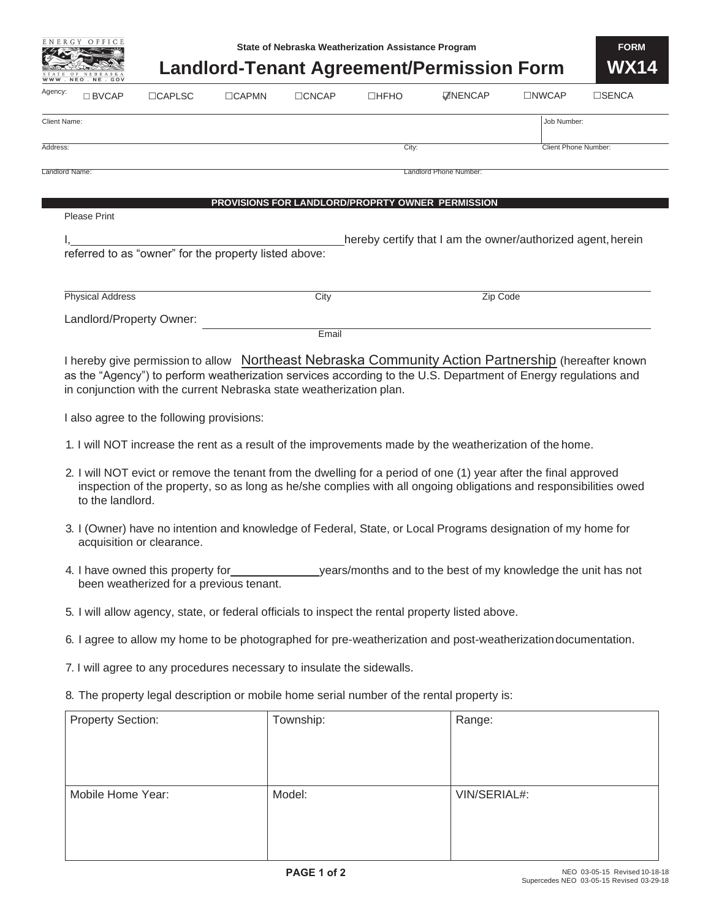| ENERGY | OFFICE |
|--------|--------|
|        |        |
|        |        |
|        |        |



|                          |                                                                              |              |              | State of Nebraska weatherization Assistance Program |                                                                                                                                                                                                                                      |                      | <b>FURM</b> |
|--------------------------|------------------------------------------------------------------------------|--------------|--------------|-----------------------------------------------------|--------------------------------------------------------------------------------------------------------------------------------------------------------------------------------------------------------------------------------------|----------------------|-------------|
| NEO, NE                  |                                                                              |              |              |                                                     | <b>Landlord-Tenant Agreement/Permission Form</b>                                                                                                                                                                                     |                      | <b>WX14</b> |
| Agency:<br>$\Box$ BVCAP  | <b>CAPLSC</b>                                                                | <b>CAPMN</b> | $\Box$ CNCAP | $\Box$ HFHO                                         | <b>ZNENCAP</b>                                                                                                                                                                                                                       | □NWCAP               | □SENCA      |
| <b>Client Name:</b>      |                                                                              |              |              |                                                     |                                                                                                                                                                                                                                      | Job Number:          |             |
| Address:                 |                                                                              |              |              | City:                                               |                                                                                                                                                                                                                                      | Client Phone Number: |             |
| Landlord Name:           |                                                                              |              |              |                                                     | Landlord Phone Number:                                                                                                                                                                                                               |                      |             |
|                          |                                                                              |              |              | PROVISIONS FOR LANDLORD/PROPRTY OWNER PERMISSION    |                                                                                                                                                                                                                                      |                      |             |
| <b>Please Print</b>      |                                                                              |              |              |                                                     |                                                                                                                                                                                                                                      |                      |             |
|                          | referred to as "owner" for the property listed above:                        |              |              |                                                     | hereby certify that I am the owner/authorized agent, herein                                                                                                                                                                          |                      |             |
|                          |                                                                              |              |              |                                                     |                                                                                                                                                                                                                                      |                      |             |
| <b>Physical Address</b>  |                                                                              |              | City         |                                                     | Zip Code                                                                                                                                                                                                                             |                      |             |
| Landlord/Property Owner: |                                                                              |              |              |                                                     |                                                                                                                                                                                                                                      |                      |             |
|                          |                                                                              |              | Email        |                                                     |                                                                                                                                                                                                                                      |                      |             |
|                          | I also agree to the following provisions:                                    |              |              |                                                     | 1. I will NOT increase the rent as a result of the improvements made by the weatherization of the home.                                                                                                                              |                      |             |
| to the landlord.         |                                                                              |              |              |                                                     | 2. I will NOT evict or remove the tenant from the dwelling for a period of one (1) year after the final approved<br>inspection of the property, so as long as he/she complies with all ongoing obligations and responsibilities owed |                      |             |
|                          | acquisition or clearance.                                                    |              |              |                                                     | 3. I (Owner) have no intention and knowledge of Federal, State, or Local Programs designation of my home for                                                                                                                         |                      |             |
|                          | 4. I have owned this property for<br>been weatherized for a previous tenant. |              |              |                                                     | years/months and to the best of my knowledge the unit has not                                                                                                                                                                        |                      |             |
|                          |                                                                              |              |              |                                                     | 5. I will allow agency, state, or federal officials to inspect the rental property listed above.                                                                                                                                     |                      |             |
|                          |                                                                              |              |              |                                                     | 6. I agree to allow my home to be photographed for pre-weatherization and post-weatherization documentation.                                                                                                                         |                      |             |
|                          | 7. I will agree to any procedures necessary to insulate the sidewalls.       |              |              |                                                     |                                                                                                                                                                                                                                      |                      |             |
|                          |                                                                              |              |              |                                                     | 8. The property legal description or mobile home serial number of the rental property is:                                                                                                                                            |                      |             |
| <b>Property Section:</b> |                                                                              |              | Township:    |                                                     | Range:                                                                                                                                                                                                                               |                      |             |
|                          |                                                                              |              |              |                                                     |                                                                                                                                                                                                                                      |                      |             |
|                          |                                                                              |              |              |                                                     |                                                                                                                                                                                                                                      |                      |             |
| Mobile Home Year:        |                                                                              |              | Model:       |                                                     | VIN/SERIAL#:                                                                                                                                                                                                                         |                      |             |